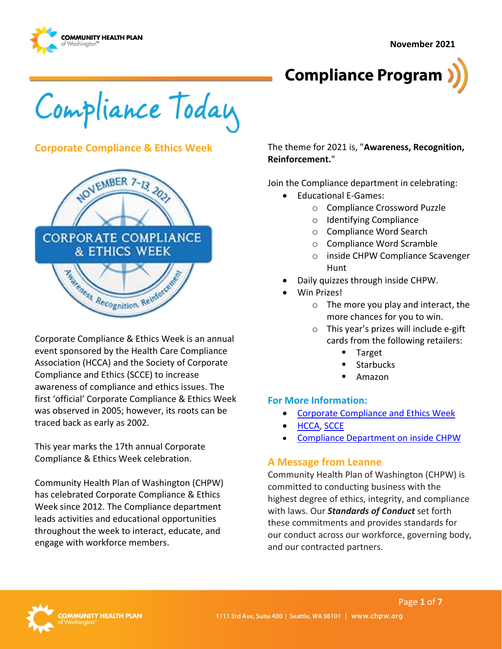



Compliance Today

# **Corporate Compliance & Ethics Week**



Corporate Compliance & Ethics Week is an annual event sponsored by the Health Care Compliance Association (HCCA) and the Society of Corporate Compliance and Ethics (SCCE) to increase awareness of compliance and ethics issues. The first 'official' Corporate Compliance & Ethics Week was observed in 2005; however, its roots can be traced back as early as 2002.

This year marks the 17th annual Corporate Compliance & Ethics Week celebration.

Community Health Plan of Washington (CHPW) has celebrated Corporate Compliance & Ethics Week since 2012. The Compliance department leads activities and educational opportunities throughout the week to interact, educate, and engage with workforce members.

The theme for 2021 is, "**Awareness, Recognition, Reinforcement.**"

Join the Compliance department in celebrating:

- Educational E-Games:
	- o Compliance Crossword Puzzle
	- o Identifying Compliance
	- o Compliance Word Search
	- o Compliance Word Scramble
	- o inside CHPW Compliance Scavenger Hunt
- Daily quizzes through inside CHPW.
- Win Prizes!
	- $\circ$  The more you play and interact, the more chances for you to win.
	- o This year's prizes will include e-gift cards from the following retailers:
		- **Target**
		- **Starbucks**
		- Amazon

#### **For More Information:**

- [Corporate Compliance and Ethics Week](https://www.hcca-info.org/about-hcca/corporate-compliance-ethics-week)
- [HCCA,](http://www.hcca-info.org/) [SCCE](http://www.corporatecompliance.org/)
- [Compliance Department on inside CHPW](https://inside.chpw.org/departments/compliance)

## **A Message from Leanne**

Community Health Plan of Washington (CHPW) is committed to conducting business with the highest degree of ethics, integrity, and compliance with laws. Our *Standards of Conduct* set forth these commitments and provides standards for our conduct across our workforce, governing body, and our contracted partners.

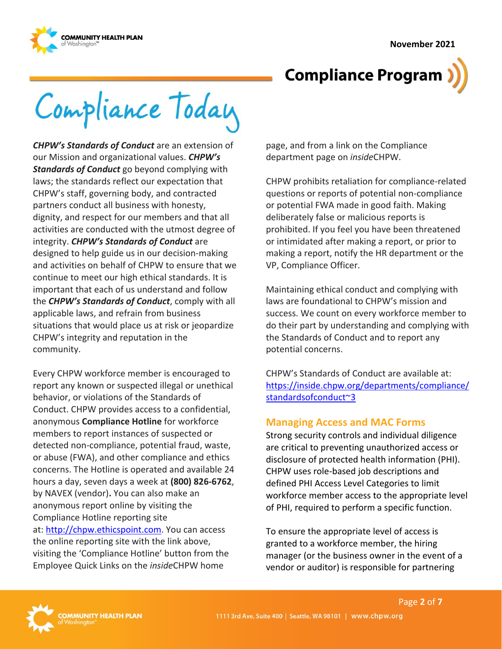



Compliance Today

*CHPW's Standards of Conduct* are an extension of our Mission and organizational values. *CHPW's Standards of Conduct* go beyond complying with laws; the standards reflect our expectation that CHPW's staff, governing body, and contracted partners conduct all business with honesty, dignity, and respect for our members and that all activities are conducted with the utmost degree of integrity. *CHPW's Standards of Conduct* are designed to help guide us in our decision-making and activities on behalf of CHPW to ensure that we continue to meet our high ethical standards. It is important that each of us understand and follow the *CHPW's Standards of Conduct*, comply with all applicable laws, and refrain from business situations that would place us at risk or jeopardize CHPW's integrity and reputation in the community.

Every CHPW workforce member is encouraged to report any known or suspected illegal or unethical behavior, or violations of the Standards of Conduct. CHPW provides access to a confidential, anonymous **Compliance Hotline** for workforce members to report instances of suspected or detected non-compliance, potential fraud, waste, or abuse (FWA), and other compliance and ethics concerns. The Hotline is operated and available 24 hours a day, seven days a week at **(800) 826-6762**, by NAVEX (vendor)**.** You can also make an anonymous report online by visiting the Compliance Hotline reporting site at: [http://chpw.ethicspoint.com.](http://chpw.ethicspoint.com/) You can access the online reporting site with the link above, visiting the 'Compliance Hotline' button from the Employee Quick Links on the *inside*CHPW home

page, and from a link on the Compliance department page on *inside*CHPW.

CHPW prohibits retaliation for compliance-related questions or reports of potential non-compliance or potential FWA made in good faith. Making deliberately false or malicious reports is prohibited. If you feel you have been threatened or intimidated after making a report, or prior to making a report, notify the HR department or the VP, Compliance Officer.

Maintaining ethical conduct and complying with laws are foundational to CHPW's mission and success. We count on every workforce member to do their part by understanding and complying with the Standards of Conduct and to report any potential concerns.

CHPW's Standards of Conduct are available at: [https://inside.chpw.org/departments/compliance/](https://inside.chpw.org/departments/compliance/standardsofconduct~3) [standardsofconduct~3](https://inside.chpw.org/departments/compliance/standardsofconduct~3)

# **Managing Access and MAC Forms**

Strong security controls and individual diligence are critical to preventing unauthorized access or disclosure of protected health information (PHI). CHPW uses role-based job descriptions and defined PHI Access Level Categories to limit workforce member access to the appropriate level of PHI, required to perform a specific function.

To ensure the appropriate level of access is granted to a workforce member, the hiring manager (or the business owner in the event of a vendor or auditor) is responsible for partnering

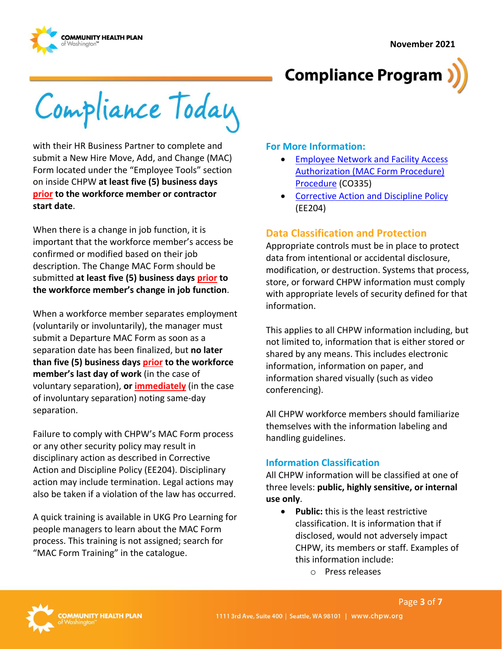



Compliance Today

with their HR Business Partner to complete and submit a New Hire Move, Add, and Change (MAC) Form located under the "Employee Tools" section on inside CHPW **at least five (5) business days prior to the workforce member or contractor start date**.

When there is a change in job function, it is important that the workforce member's access be confirmed or modified based on their job description. The Change MAC Form should be submitted **at least five (5) business days prior to the workforce member's change in job function**.

When a workforce member separates employment (voluntarily or involuntarily), the manager must submit a Departure MAC Form as soon as a separation date has been finalized, but **no later than five (5) business days prior to the workforce member's last day of work** (in the case of voluntary separation), **or immediately** (in the case of involuntary separation) noting same-day separation.

Failure to comply with CHPW's MAC Form process or any other security policy may result in disciplinary action as described in Corrective Action and Discipline Policy (EE204). Disciplinary action may include termination. Legal actions may also be taken if a violation of the law has occurred.

A quick training is available in UKG Pro Learning for people managers to learn about the MAC Form process. This training is not assigned; search for "MAC Form Training" in the catalogue.

## **For More Information:**

- [Employee Network and Facility Access](https://chpwa.sharepoint.com/:b:/r/sites/PoliciesandProcedures/Compliance/Employee%20Network%20and%20Facility%20Access%20Authorization%20MAC%20Form%20Procedure%20-%20CO335.pdf?csf=1&web=1&e=TEkFir)  [Authorization \(MAC Form Procedure\)](https://chpwa.sharepoint.com/:b:/r/sites/PoliciesandProcedures/Compliance/Employee%20Network%20and%20Facility%20Access%20Authorization%20MAC%20Form%20Procedure%20-%20CO335.pdf?csf=1&web=1&e=TEkFir)  [Procedure](https://chpwa.sharepoint.com/:b:/r/sites/PoliciesandProcedures/Compliance/Employee%20Network%20and%20Facility%20Access%20Authorization%20MAC%20Form%20Procedure%20-%20CO335.pdf?csf=1&web=1&e=TEkFir) (CO335)
- [Corrective Action and Discipline Policy](https://chpwa.sharepoint.com/:b:/r/sites/PoliciesandProcedures/Employee%20Policies%20HR/Corrective%20Action%20and%20Discipline%20Policy%20-%20EE204.pdf?csf=1&web=1&e=0gDbin) (EE204)

# **Data Classification and Protection**

Appropriate controls must be in place to protect data from intentional or accidental disclosure, modification, or destruction. Systems that process, store, or forward CHPW information must comply with appropriate levels of security defined for that information.

This applies to all CHPW information including, but not limited to, information that is either stored or shared by any means. This includes electronic information, information on paper, and information shared visually (such as video conferencing).

All CHPW workforce members should familiarize themselves with the information labeling and handling guidelines.

# **Information Classification**

All CHPW information will be classified at one of three levels: **public, highly sensitive, or internal use only**.

- **Public:** this is the least restrictive classification. It is information that if disclosed, would not adversely impact CHPW, its members or staff. Examples of this information include:
	- o Press releases

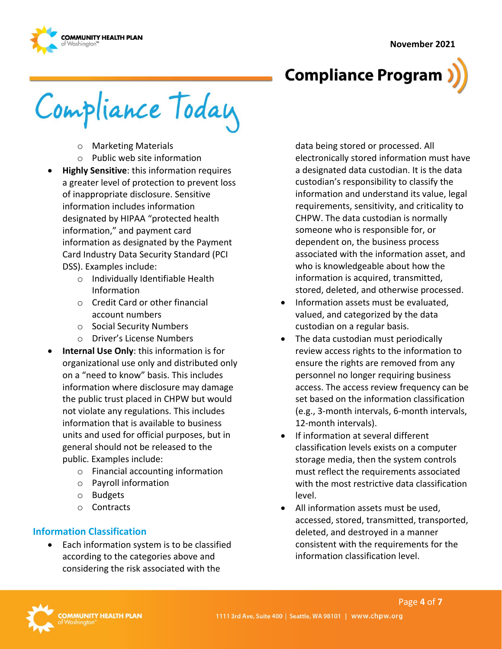#### **November 2021**



# **Compliance Program**

Compliance Today

- o Marketing Materials
- o Public web site information
- **Highly Sensitive**: this information requires a greater level of protection to prevent loss of inappropriate disclosure. Sensitive information includes information designated by HIPAA "protected health information," and payment card information as designated by the Payment Card Industry Data Security Standard (PCI DSS). Examples include:
	- o Individually Identifiable Health Information
	- o Credit Card or other financial account numbers
	- o Social Security Numbers
	- o Driver's License Numbers
- **Internal Use Only**: this information is for organizational use only and distributed only on a "need to know" basis. This includes information where disclosure may damage the public trust placed in CHPW but would not violate any regulations. This includes information that is available to business units and used for official purposes, but in general should not be released to the public. Examples include:
	- o Financial accounting information
	- o Payroll information
	- o Budgets
	- o Contracts

# **Information Classification**

• Each information system is to be classified according to the categories above and considering the risk associated with the

data being stored or processed. All electronically stored information must have a designated data custodian. It is the data custodian's responsibility to classify the information and understand its value, legal requirements, sensitivity, and criticality to CHPW. The data custodian is normally someone who is responsible for, or dependent on, the business process associated with the information asset, and who is knowledgeable about how the information is acquired, transmitted, stored, deleted, and otherwise processed.

- Information assets must be evaluated, valued, and categorized by the data custodian on a regular basis.
- The data custodian must periodically review access rights to the information to ensure the rights are removed from any personnel no longer requiring business access. The access review frequency can be set based on the information classification (e.g., 3-month intervals, 6-month intervals, 12-month intervals).
- If information at several different classification levels exists on a computer storage media, then the system controls must reflect the requirements associated with the most restrictive data classification level.
- All information assets must be used, accessed, stored, transmitted, transported, deleted, and destroyed in a manner consistent with the requirements for the information classification level.

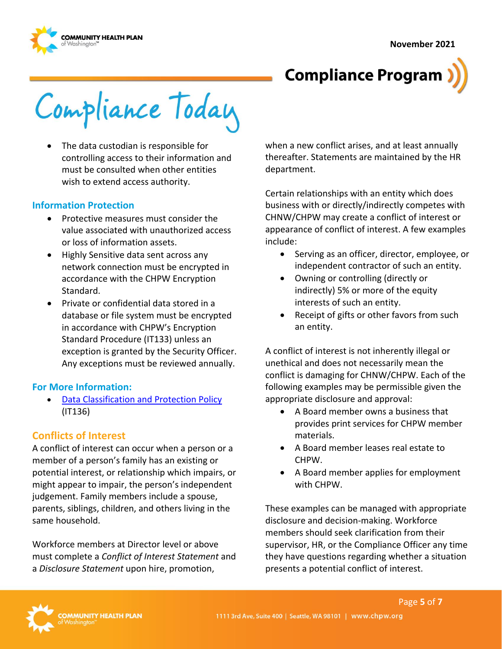



Compliance Today

• The data custodian is responsible for controlling access to their information and must be consulted when other entities wish to extend access authority.

#### **Information Protection**

- Protective measures must consider the value associated with unauthorized access or loss of information assets.
- Highly Sensitive data sent across any network connection must be encrypted in accordance with the CHPW Encryption Standard.
- Private or confidential data stored in a database or file system must be encrypted in accordance with CHPW's Encryption Standard Procedure (IT133) unless an exception is granted by the Security Officer. Any exceptions must be reviewed annually.

#### **For More Information:**

• [Data Classification and Protection Policy](https://chpwa.sharepoint.com/:b:/r/sites/PoliciesandProcedures/IST/Data%20Classification%20and%20Protection%20Policy%20-%20IT136.pdf?csf=1&web=1&e=khVQYH) (IT136)

## **Conflicts of Interest**

A conflict of interest can occur when a person or a member of a person's family has an existing or potential interest, or relationship which impairs, or might appear to impair, the person's independent judgement. Family members include a spouse, parents, siblings, children, and others living in the same household.

Workforce members at Director level or above must complete a *Conflict of Interest Statement* and a *Disclosure Statement* upon hire, promotion,

when a new conflict arises, and at least annually thereafter. Statements are maintained by the HR department.

Certain relationships with an entity which does business with or directly/indirectly competes with CHNW/CHPW may create a conflict of interest or appearance of conflict of interest. A few examples include:

- Serving as an officer, director, employee, or independent contractor of such an entity.
- Owning or controlling (directly or indirectly) 5% or more of the equity interests of such an entity.
- Receipt of gifts or other favors from such an entity.

A conflict of interest is not inherently illegal or unethical and does not necessarily mean the conflict is damaging for CHNW/CHPW. Each of the following examples may be permissible given the appropriate disclosure and approval:

- A Board member owns a business that provides print services for CHPW member materials.
- A Board member leases real estate to CHPW.
- A Board member applies for employment with CHPW.

These examples can be managed with appropriate disclosure and decision-making. Workforce members should seek clarification from their supervisor, HR, or the Compliance Officer any time they have questions regarding whether a situation presents a potential conflict of interest.

Page **5** of **7**

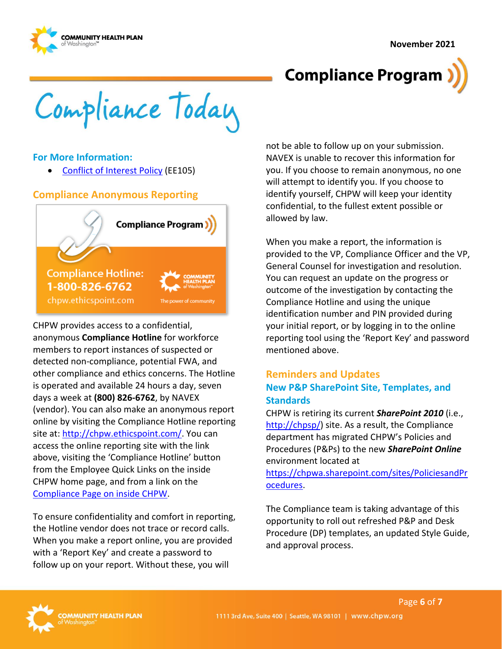**November 2021** 





Compliance Today

## **For More Information:**

• [Conflict of Interest Policy](https://chpwa.sharepoint.com/:b:/r/sites/PoliciesandProcedures/Employee%20Policies%20HR/Conflict%20of%20Interest%20Policy%20-%20EE105.pdf?csf=1&web=1&e=IBwnAA) (EE105)

## **Compliance Anonymous Reporting**



CHPW provides access to a confidential, anonymous **Compliance Hotline** for workforce members to report instances of suspected or detected non-compliance, potential FWA, and other compliance and ethics concerns. The Hotline is operated and available 24 hours a day, seven days a week at **(800) 826-6762**, by NAVEX (vendor). You can also make an anonymous report online by visiting the Compliance Hotline reporting site at: [http://chpw.ethicspoint.com/.](http://chpw.ethicspoint.com/) You can access the online reporting site with the link above, visiting the 'Compliance Hotline' button from the Employee Quick Links on the inside CHPW home page, and from a link on the [Compliance Page on inside CHPW.](https://inside.chpw.org/departments/compliance)

To ensure confidentiality and comfort in reporting, the Hotline vendor does not trace or record calls. When you make a report online, you are provided with a 'Report Key' and create a password to follow up on your report. Without these, you will

not be able to follow up on your submission. NAVEX is unable to recover this information for you. If you choose to remain anonymous, no one will attempt to identify you. If you choose to identify yourself, CHPW will keep your identity confidential, to the fullest extent possible or allowed by law.

When you make a report, the information is provided to the VP, Compliance Officer and the VP, General Counsel for investigation and resolution. You can request an update on the progress or outcome of the investigation by contacting the Compliance Hotline and using the unique identification number and PIN provided during your initial report, or by logging in to the online reporting tool using the 'Report Key' and password mentioned above.

# **Reminders and Updates New P&P SharePoint Site, Templates, and Standards**

CHPW is retiring its current *SharePoint 2010* (i.e., [http://chpsp/\)](http://chpsp/) site. As a result, the Compliance department has migrated CHPW's Policies and Procedures (P&Ps) to the new *SharePoint Online* environment located at

[https://chpwa.sharepoint.com/sites/PoliciesandPr](https://chpwa.sharepoint.com/sites/PoliciesandProcedures) [ocedures.](https://chpwa.sharepoint.com/sites/PoliciesandProcedures)

The Compliance team is taking advantage of this opportunity to roll out refreshed P&P and Desk Procedure (DP) templates, an updated Style Guide, and approval process.